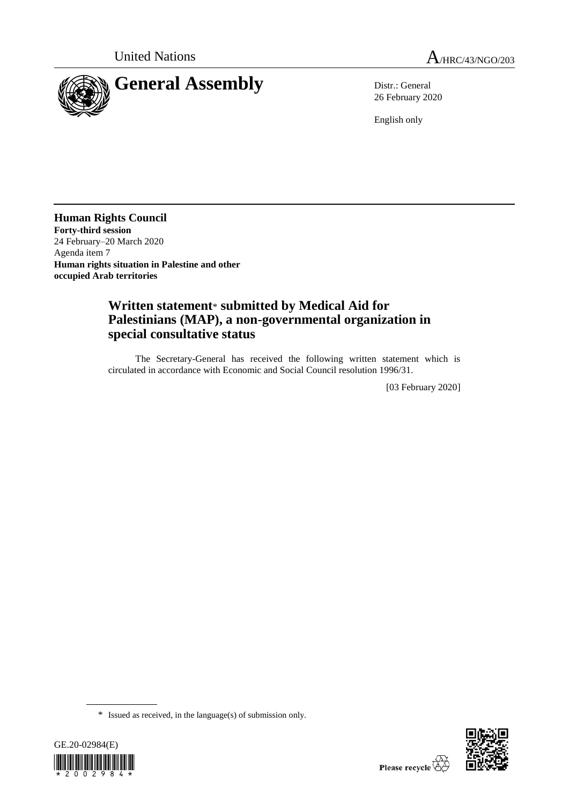



26 February 2020

English only

**Human Rights Council Forty-third session** 24 February–20 March 2020 Agenda item 7 **Human rights situation in Palestine and other occupied Arab territories**

# **Written statement**\* **submitted by Medical Aid for Palestinians (MAP), a non-governmental organization in special consultative status**

The Secretary-General has received the following written statement which is circulated in accordance with Economic and Social Council resolution 1996/31.

[03 February 2020]

<sup>\*</sup> Issued as received, in the language(s) of submission only.



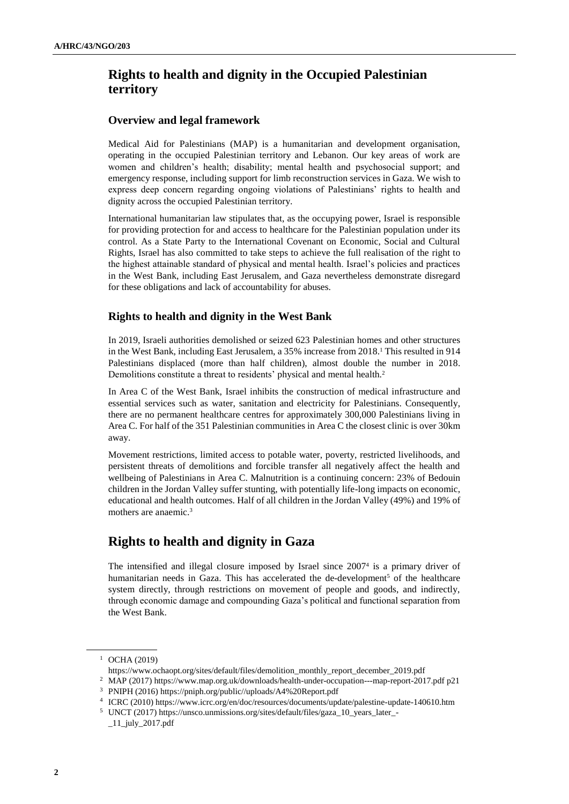# **Rights to health and dignity in the Occupied Palestinian territory**

#### **Overview and legal framework**

Medical Aid for Palestinians (MAP) is a humanitarian and development organisation, operating in the occupied Palestinian territory and Lebanon. Our key areas of work are women and children's health; disability; mental health and psychosocial support; and emergency response, including support for limb reconstruction services in Gaza. We wish to express deep concern regarding ongoing violations of Palestinians' rights to health and dignity across the occupied Palestinian territory.

International humanitarian law stipulates that, as the occupying power, Israel is responsible for providing protection for and access to healthcare for the Palestinian population under its control. As a State Party to the International Covenant on Economic, Social and Cultural Rights, Israel has also committed to take steps to achieve the full realisation of the right to the highest attainable standard of physical and mental health. Israel's policies and practices in the West Bank, including East Jerusalem, and Gaza nevertheless demonstrate disregard for these obligations and lack of accountability for abuses.

### **Rights to health and dignity in the West Bank**

In 2019, Israeli authorities demolished or seized 623 Palestinian homes and other structures in the West Bank, including East Jerusalem, a 35% increase from 2018. <sup>1</sup> This resulted in 914 Palestinians displaced (more than half children), almost double the number in 2018. Demolitions constitute a threat to residents' physical and mental health.<sup>2</sup>

In Area C of the West Bank, Israel inhibits the construction of medical infrastructure and essential services such as water, sanitation and electricity for Palestinians. Consequently, there are no permanent healthcare centres for approximately 300,000 Palestinians living in Area C. For half of the 351 Palestinian communities in Area C the closest clinic is over 30km away.

Movement restrictions, limited access to potable water, poverty, restricted livelihoods, and persistent threats of demolitions and forcible transfer all negatively affect the health and wellbeing of Palestinians in Area C. Malnutrition is a continuing concern: 23% of Bedouin children in the Jordan Valley suffer stunting, with potentially life-long impacts on economic, educational and health outcomes. Half of all children in the Jordan Valley (49%) and 19% of mothers are anaemic.<sup>3</sup>

## **Rights to health and dignity in Gaza**

The intensified and illegal closure imposed by Israel since 2007<sup>4</sup> is a primary driver of humanitarian needs in Gaza. This has accelerated the de-development<sup>5</sup> of the healthcare system directly, through restrictions on movement of people and goods, and indirectly, through economic damage and compounding Gaza's political and functional separation from the West Bank.

<sup>1</sup> OCHA (2019)

[https://www.ochaopt.org/sites/default/files/demolition\\_monthly\\_report\\_december\\_2019.pdf](https://www.ochaopt.org/sites/default/files/demolition_monthly_report_december_2019.pdf)

<sup>2</sup> MAP (2017[\) https://www.map.org.uk/downloads/health-under-occupation---map-report-2017.pdf](https://www.map.org.uk/downloads/health-under-occupation---map-report-2017.pdf) p21

<sup>3</sup> PNIPH (2016) [https://pniph.org/public//uploads/A4%20Report.pdf](https://pniph.org/public/uploads/A4%20Report.pdf)

<sup>4</sup> ICRC (2010)<https://www.icrc.org/en/doc/resources/documents/update/palestine-update-140610.htm>

<sup>5</sup> UNCT (2017[\) https://unsco.unmissions.org/sites/default/files/gaza\\_10\\_years\\_later\\_-](https://unsco.unmissions.org/sites/default/files/gaza_10_years_later_-_11_july_2017.pdf)  $\_11$  $july\_2017.pdf$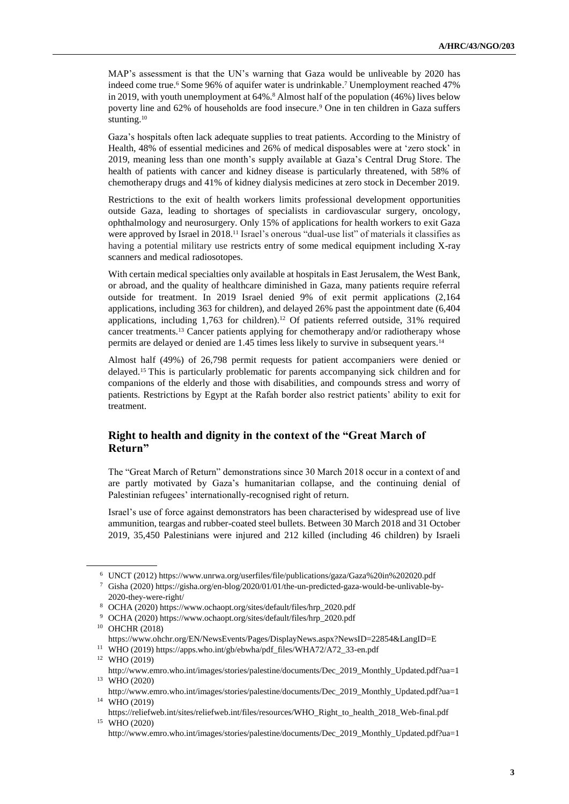MAP's assessment is that the UN's warning that Gaza would be unliveable by 2020 has indeed come true. <sup>6</sup> Some 96% of aquifer water is undrinkable. <sup>7</sup> Unemployment reached 47% in 2019, with youth unemployment at 64%. <sup>8</sup> Almost half of the population (46%) lives below poverty line and 62% of households are food insecure.<sup>9</sup> One in ten children in Gaza suffers stunting.<sup>10</sup>

Gaza's hospitals often lack adequate supplies to treat patients. According to the Ministry of Health, 48% of essential medicines and 26% of medical disposables were at 'zero stock' in 2019, meaning less than one month's supply available at Gaza's Central Drug Store. The health of patients with cancer and kidney disease is particularly threatened, with 58% of chemotherapy drugs and 41% of kidney dialysis medicines at zero stock in December 2019.

Restrictions to the exit of health workers limits professional development opportunities outside Gaza, leading to shortages of specialists in cardiovascular surgery, oncology, ophthalmology and neurosurgery. Only 15% of applications for health workers to exit Gaza were approved by Israel in 2018.<sup>11</sup> Israel's onerous "dual-use list" of materials it classifies as having a potential military use restricts entry of some medical equipment including X-ray scanners and medical radiosotopes.

With certain medical specialties only available at hospitals in East Jerusalem, the West Bank, or abroad, and the quality of healthcare diminished in Gaza, many patients require referral outside for treatment. In 2019 Israel denied 9% of exit permit applications (2,164 applications, including 363 for children), and delayed 26% past the appointment date (6,404 applications, including 1,763 for children).<sup>12</sup> Of patients referred outside, 31% required cancer treatments. <sup>13</sup> Cancer patients applying for chemotherapy and/or radiotherapy whose permits are delayed or denied are 1.45 times less likely to survive in subsequent years.<sup>14</sup>

Almost half (49%) of 26,798 permit requests for patient accompaniers were denied or delayed. <sup>15</sup> This is particularly problematic for parents accompanying sick children and for companions of the elderly and those with disabilities, and compounds stress and worry of patients. Restrictions by Egypt at the Rafah border also restrict patients' ability to exit for treatment.

### **Right to health and dignity in the context of the "Great March of Return"**

The "Great March of Return" demonstrations since 30 March 2018 occur in a context of and are partly motivated by Gaza's humanitarian collapse, and the continuing denial of Palestinian refugees' internationally-recognised right of return.

Israel's use of force against demonstrators has been characterised by widespread use of live ammunition, teargas and rubber-coated steel bullets. Between 30 March 2018 and 31 October 2019, 35,450 Palestinians were injured and 212 killed (including 46 children) by Israeli

<sup>6</sup> UNCT (2012[\) https://www.unrwa.org/userfiles/file/publications/gaza/Gaza%20in%202020.pdf](https://www.unrwa.org/userfiles/file/publications/gaza/Gaza%20in%202020.pdf) 

<sup>7</sup> Gisha (2020) [https://gisha.org/en-blog/2020/01/01/the-un-predicted-gaza-would-be-unlivable-by-](https://gisha.org/en-blog/2020/01/01/the-un-predicted-gaza-would-be-unlivable-by-2020-they-were-right/)[2020-they-were-right/](https://gisha.org/en-blog/2020/01/01/the-un-predicted-gaza-would-be-unlivable-by-2020-they-were-right/) 

<sup>8</sup> OCHA (2020[\) https://www.ochaopt.org/sites/default/files/hrp\\_2020.pdf](https://www.ochaopt.org/sites/default/files/hrp_2020.pdf)

<sup>9</sup> OCHA (2020[\) https://www.ochaopt.org/sites/default/files/hrp\\_2020.pdf](https://www.ochaopt.org/sites/default/files/hrp_2020.pdf)

<sup>10</sup> OHCHR (2018)

<https://www.ohchr.org/EN/NewsEvents/Pages/DisplayNews.aspx?NewsID=22854&LangID=E>

<sup>11</sup> WHO (2019[\) https://apps.who.int/gb/ebwha/pdf\\_files/WHA72/A72\\_33-en.pdf](https://apps.who.int/gb/ebwha/pdf_files/WHA72/A72_33-en.pdf) <sup>12</sup> WHO (2019)

[http://www.emro.who.int/images/stories/palestine/documents/Dec\\_2019\\_Monthly\\_Updated.pdf?ua=1](http://www.emro.who.int/images/stories/palestine/documents/Dec_2019_Monthly_Updated.pdf?ua=1)  <sup>13</sup> WHO (2020)

[http://www.emro.who.int/images/stories/palestine/documents/Dec\\_2019\\_Monthly\\_Updated.pdf?ua=1](http://www.emro.who.int/images/stories/palestine/documents/Dec_2019_Monthly_Updated.pdf?ua=1) <sup>14</sup> WHO (2019)

[https://reliefweb.int/sites/reliefweb.int/files/resources/WHO\\_Right\\_to\\_health\\_2018\\_Web-final.pdf](https://reliefweb.int/sites/reliefweb.int/files/resources/WHO_Right_to_health_2018_Web-final.pdf) <sup>15</sup> WHO (2020)

[http://www.emro.who.int/images/stories/palestine/documents/Dec\\_2019\\_Monthly\\_Updated.pdf?ua=1](http://www.emro.who.int/images/stories/palestine/documents/Dec_2019_Monthly_Updated.pdf?ua=1)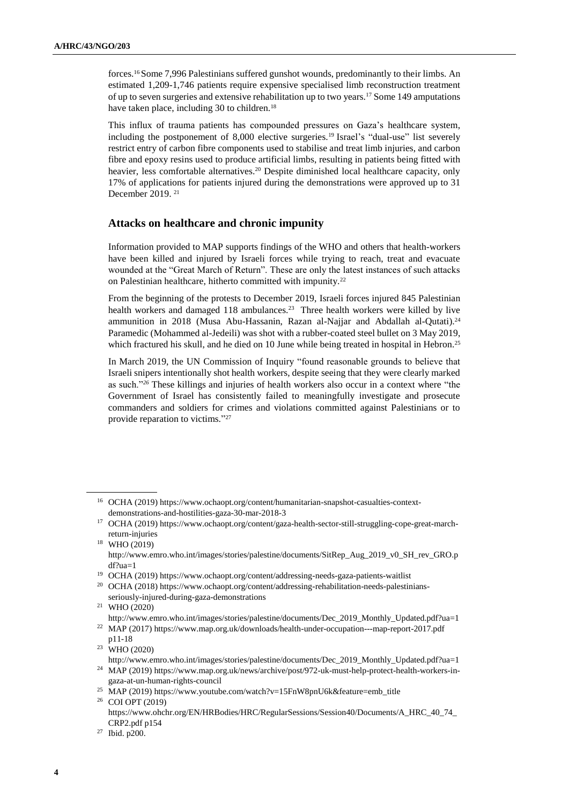forces.<sup>16</sup> Some 7,996 Palestinians suffered gunshot wounds, predominantly to their limbs. An estimated 1,209-1,746 patients require expensive specialised limb reconstruction treatment of up to seven surgeries and extensive rehabilitation up to two years.<sup>17</sup> Some 149 amputations have taken place, including 30 to children.<sup>18</sup>

This influx of trauma patients has compounded pressures on Gaza's healthcare system, including the postponement of 8,000 elective surgeries.<sup>19</sup> Israel's "dual-use" list severely restrict entry of carbon fibre components used to stabilise and treat limb injuries, and carbon fibre and epoxy resins used to produce artificial limbs, resulting in patients being fitted with heavier, less comfortable alternatives. <sup>20</sup> Despite diminished local healthcare capacity, only 17% of applications for patients injured during the demonstrations were approved up to 31 December 2019.<sup>21</sup>

#### **Attacks on healthcare and chronic impunity**

Information provided to MAP supports findings of the WHO and others that health-workers have been killed and injured by Israeli forces while trying to reach, treat and evacuate wounded at the "Great March of Return". These are only the latest instances of such attacks on Palestinian healthcare, hitherto committed with impunity.<sup>22</sup>

From the beginning of the protests to December 2019, Israeli forces injured 845 Palestinian health workers and damaged 118 ambulances.<sup>23</sup> Three health workers were killed by live ammunition in 2018 (Musa Abu-Hassanin, Razan al-Najjar and Abdallah al-Qutati).<sup>24</sup> Paramedic (Mohammed al-Jedeili) was shot with a rubber-coated steel bullet on 3 May 2019, which fractured his skull, and he died on 10 June while being treated in hospital in Hebron.<sup>25</sup>

In March 2019, the UN Commission of Inquiry "found reasonable grounds to believe that Israeli snipers intentionally shot health workers, despite seeing that they were clearly marked as such."*<sup>26</sup>* These killings and injuries of health workers also occur in a context where "the Government of Israel has consistently failed to meaningfully investigate and prosecute commanders and soldiers for crimes and violations committed against Palestinians or to provide reparation to victims."<sup>27</sup>

<sup>16</sup> OCHA (2019[\) https://www.ochaopt.org/content/humanitarian-snapshot-casualties-context](https://www.ochaopt.org/content/humanitarian-snapshot-casualties-context-demonstrations-and-hostilities-gaza-30-mar-2018-3)[demonstrations-and-hostilities-gaza-30-mar-2018-3](https://www.ochaopt.org/content/humanitarian-snapshot-casualties-context-demonstrations-and-hostilities-gaza-30-mar-2018-3)

<sup>17</sup> OCHA (2019[\) https://www.ochaopt.org/content/gaza-health-sector-still-struggling-cope-great-march](https://www.ochaopt.org/content/gaza-health-sector-still-struggling-cope-great-march-return-injuries)[return-injuries](https://www.ochaopt.org/content/gaza-health-sector-still-struggling-cope-great-march-return-injuries)

<sup>18</sup> WHO (2019)

[http://www.emro.who.int/images/stories/palestine/documents/SitRep\\_Aug\\_2019\\_v0\\_SH\\_rev\\_GRO.p](http://www.emro.who.int/images/stories/palestine/documents/SitRep_Aug_2019_v0_SH_rev_GRO.pdf?ua=1) [df?ua=1](http://www.emro.who.int/images/stories/palestine/documents/SitRep_Aug_2019_v0_SH_rev_GRO.pdf?ua=1)

<sup>19</sup> OCHA (2019[\) https://www.ochaopt.org/content/addressing-needs-gaza-patients-waitlist](https://www.ochaopt.org/content/addressing-needs-gaza-patients-waitlist)

<sup>20</sup> OCHA (2018[\) https://www.ochaopt.org/content/addressing-rehabilitation-needs-palestinians](https://www.ochaopt.org/content/addressing-rehabilitation-needs-palestinians-seriously-injured-during-gaza-demonstrations)[seriously-injured-during-gaza-demonstrations](https://www.ochaopt.org/content/addressing-rehabilitation-needs-palestinians-seriously-injured-during-gaza-demonstrations)

<sup>21</sup> WHO (2020)

[http://www.emro.who.int/images/stories/palestine/documents/Dec\\_2019\\_Monthly\\_Updated.pdf?ua=1](http://www.emro.who.int/images/stories/palestine/documents/Dec_2019_Monthly_Updated.pdf?ua=1/) <sup>22</sup> MAP (2017[\) https://www.map.org.uk/downloads/health-under-occupation---map-report-2017.pdf](https://www.map.org.uk/downloads/health-under-occupation---map-report-2017.pdf)

p11-18  $23$  WHO (2020)

[http://www.emro.who.int/images/stories/palestine/documents/Dec\\_2019\\_Monthly\\_Updated.pdf?ua=1](http://www.emro.who.int/images/stories/palestine/documents/Dec_2019_Monthly_Updated.pdf?ua=1/) <sup>24</sup> MAP (2019[\) https://www.map.org.uk/news/archive/post/972-uk-must-help-protect-health-workers-in-](https://www.map.org.uk/news/archive/post/972-uk-must-help-protect-health-workers-in-gaza-at-un-human-rights-council)

[gaza-at-un-human-rights-council](https://www.map.org.uk/news/archive/post/972-uk-must-help-protect-health-workers-in-gaza-at-un-human-rights-council)

<sup>&</sup>lt;sup>25</sup> MAP (2019[\) https://www.youtube.com/watch?v=15FnW8pnU6k&feature=emb\\_title](https://www.youtube.com/watch?v=15FnW8pnU6k&feature=emb_title)

<sup>26</sup> COI OPT (2019) [https://www.ohchr.org/EN/HRBodies/HRC/RegularSessions/Session40/Documents/A\\_HRC\\_40\\_74\\_](https://www.ohchr.org/EN/HRBodies/HRC/RegularSessions/Session40/Documents/A_HRC_40_74_CRP2.pdf) [CRP2.pdf](https://www.ohchr.org/EN/HRBodies/HRC/RegularSessions/Session40/Documents/A_HRC_40_74_CRP2.pdf) p154

<sup>27</sup> Ibid. p200.